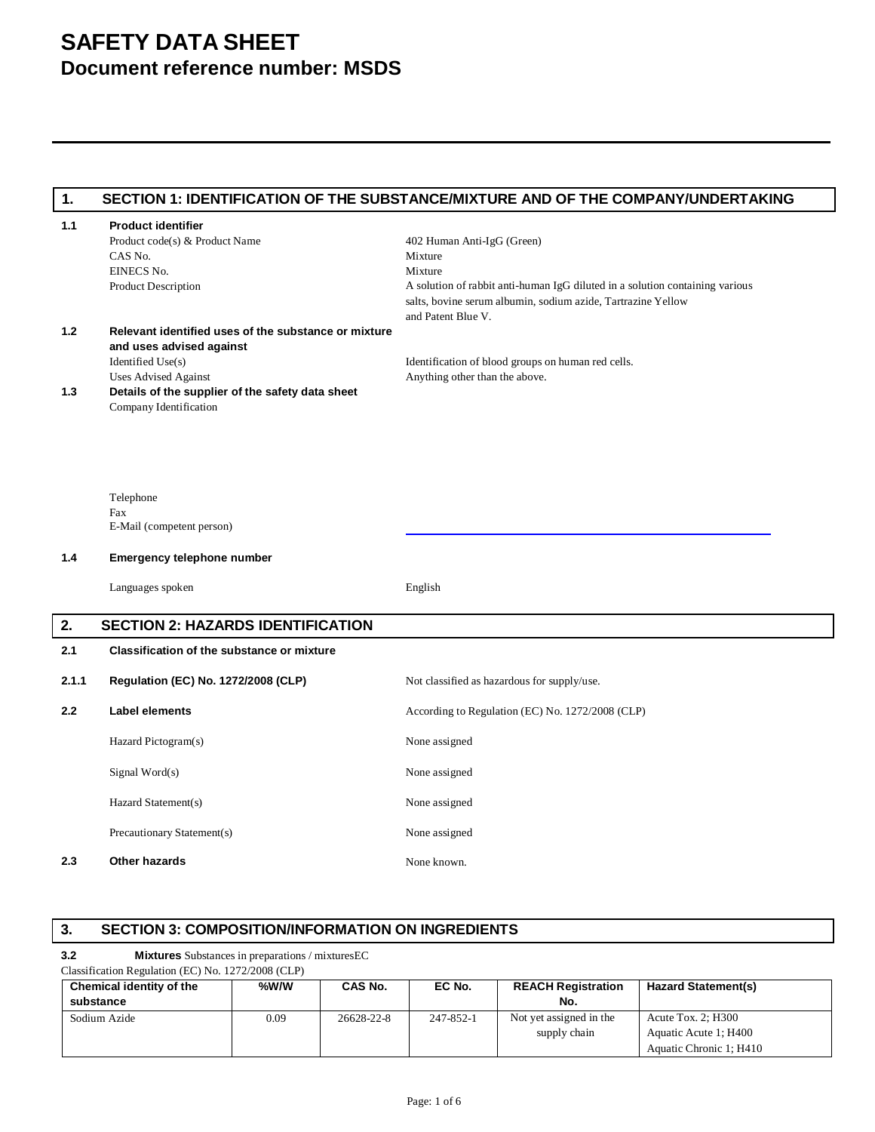# **SAFETY DATA SHEET Document reference number: MSDS**

| 1.    |                                                                                                                                      | SECTION 1: IDENTIFICATION OF THE SUBSTANCE/MIXTURE AND OF THE COMPANY/UNDERTAKING                                                                                                                                      |
|-------|--------------------------------------------------------------------------------------------------------------------------------------|------------------------------------------------------------------------------------------------------------------------------------------------------------------------------------------------------------------------|
| 1.1   | <b>Product identifier</b><br>Product code(s) & Product Name<br>CAS No.<br>EINECS No.<br><b>Product Description</b>                   | 402 Human Anti-IgG (Green)<br>Mixture<br>Mixture<br>A solution of rabbit anti-human IgG diluted in a solution containing various<br>salts, bovine serum albumin, sodium azide, Tartrazine Yellow<br>and Patent Blue V. |
| 1.2   | Relevant identified uses of the substance or mixture<br>and uses advised against<br>Identified Use(s)<br><b>Uses Advised Against</b> | Identification of blood groups on human red cells.<br>Anything other than the above.                                                                                                                                   |
| 1.3   | Details of the supplier of the safety data sheet<br>Company Identification                                                           |                                                                                                                                                                                                                        |
|       | Telephone<br>Fax<br>E-Mail (competent person)                                                                                        |                                                                                                                                                                                                                        |
| 1.4   | Emergency telephone number                                                                                                           |                                                                                                                                                                                                                        |
|       | Languages spoken                                                                                                                     | English                                                                                                                                                                                                                |
| 2.    | <b>SECTION 2: HAZARDS IDENTIFICATION</b>                                                                                             |                                                                                                                                                                                                                        |
| 2.1   | <b>Classification of the substance or mixture</b>                                                                                    |                                                                                                                                                                                                                        |
| 2.1.1 | Regulation (EC) No. 1272/2008 (CLP)                                                                                                  | Not classified as hazardous for supply/use.                                                                                                                                                                            |
| 2.2   | <b>Label elements</b>                                                                                                                | According to Regulation (EC) No. 1272/2008 (CLP)                                                                                                                                                                       |
|       | Hazard Pictogram(s)                                                                                                                  | None assigned                                                                                                                                                                                                          |
|       | Signal Word $(s)$                                                                                                                    | None assigned                                                                                                                                                                                                          |
|       | Hazard Statement(s)                                                                                                                  | None assigned                                                                                                                                                                                                          |
|       | Precautionary Statement(s)                                                                                                           | None assigned                                                                                                                                                                                                          |
| 2.3   | Other hazards                                                                                                                        | None known.                                                                                                                                                                                                            |

## **3. SECTION 3: COMPOSITION/INFORMATION ON INGREDIENTS**

#### **3.2 Mixtures** Substances in preparations / mixturesEC

#### Classification Regulation (EC) No. 1272/2008 (CLP)

| Chemical identity of the | %W/W | CAS No.    | EC No.    | <b>REACH Registration</b> | <b>Hazard Statement(s)</b> |
|--------------------------|------|------------|-----------|---------------------------|----------------------------|
| substance                |      |            |           | No.                       |                            |
| Sodium Azide             | 0.09 | 26628-22-8 | 247-852-1 | Not yet assigned in the   | Acute Tox. $2:$ H300       |
|                          |      |            |           | supply chain              | Aquatic Acute 1; H400      |
|                          |      |            |           |                           | Aquatic Chronic 1; H410    |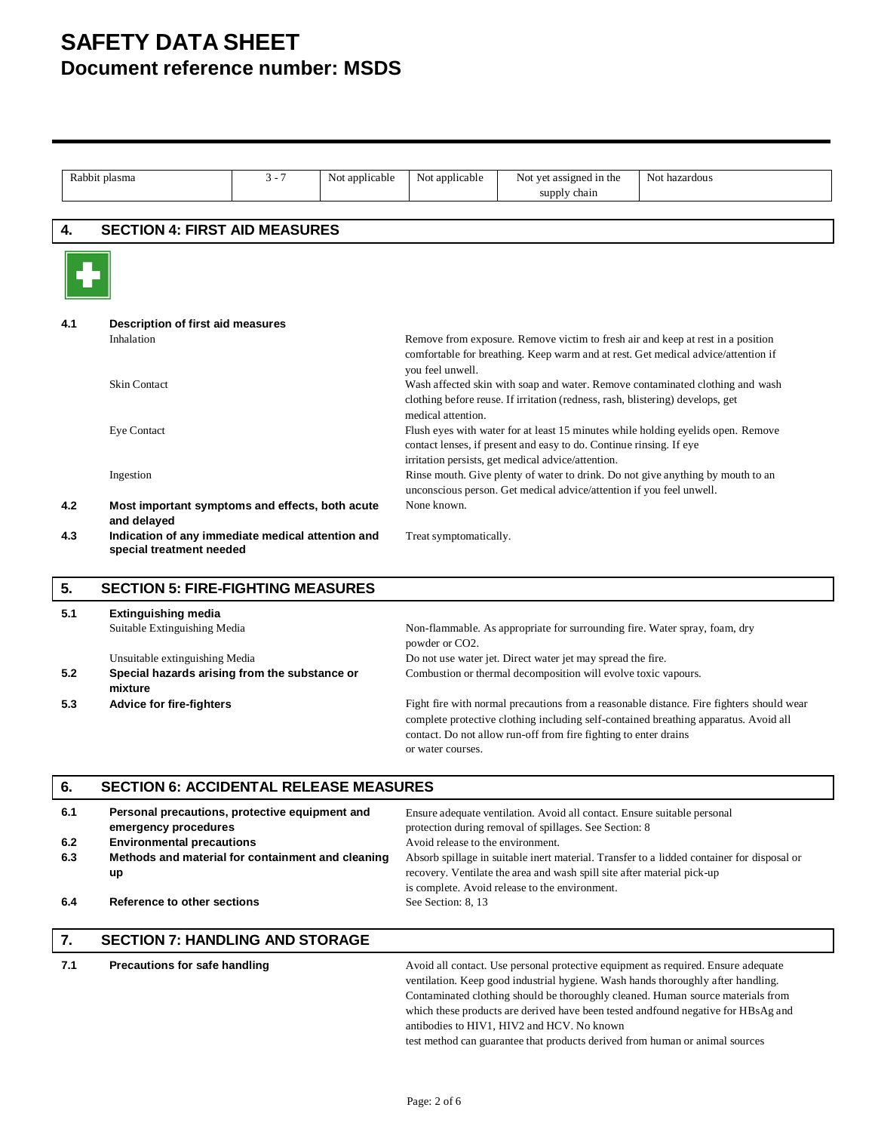# **SAFETY DATA SHEET Document reference number: MSDS**

|                   | Rabbit plasma                                                                                                                                                         | $3 - 7$ | Not applicable                                                                                                                                                                                                                                                                                                                                              | Not applicable                                                                                                                                                                                                                                                            | Not yet assigned in the<br>supply chain                                                                                                                                                                       | Not hazardous                                                                                                                                                                                                                                                                                                                                 |
|-------------------|-----------------------------------------------------------------------------------------------------------------------------------------------------------------------|---------|-------------------------------------------------------------------------------------------------------------------------------------------------------------------------------------------------------------------------------------------------------------------------------------------------------------------------------------------------------------|---------------------------------------------------------------------------------------------------------------------------------------------------------------------------------------------------------------------------------------------------------------------------|---------------------------------------------------------------------------------------------------------------------------------------------------------------------------------------------------------------|-----------------------------------------------------------------------------------------------------------------------------------------------------------------------------------------------------------------------------------------------------------------------------------------------------------------------------------------------|
|                   |                                                                                                                                                                       |         |                                                                                                                                                                                                                                                                                                                                                             |                                                                                                                                                                                                                                                                           |                                                                                                                                                                                                               |                                                                                                                                                                                                                                                                                                                                               |
| 4.                | <b>SECTION 4: FIRST AID MEASURES</b>                                                                                                                                  |         |                                                                                                                                                                                                                                                                                                                                                             |                                                                                                                                                                                                                                                                           |                                                                                                                                                                                                               |                                                                                                                                                                                                                                                                                                                                               |
|                   |                                                                                                                                                                       |         |                                                                                                                                                                                                                                                                                                                                                             |                                                                                                                                                                                                                                                                           |                                                                                                                                                                                                               |                                                                                                                                                                                                                                                                                                                                               |
| 4.1               | Description of first aid measures<br>Inhalation<br>Skin Contact                                                                                                       |         | Remove from exposure. Remove victim to fresh air and keep at rest in a position<br>comfortable for breathing. Keep warm and at rest. Get medical advice/attention if<br>you feel unwell.<br>Wash affected skin with soap and water. Remove contaminated clothing and wash<br>clothing before reuse. If irritation (redness, rash, blistering) develops, get |                                                                                                                                                                                                                                                                           |                                                                                                                                                                                                               |                                                                                                                                                                                                                                                                                                                                               |
|                   | Eye Contact                                                                                                                                                           |         |                                                                                                                                                                                                                                                                                                                                                             | medical attention.<br>Flush eyes with water for at least 15 minutes while holding eyelids open. Remove<br>contact lenses, if present and easy to do. Continue rinsing. If eye<br>irritation persists, get medical advice/attention.                                       |                                                                                                                                                                                                               |                                                                                                                                                                                                                                                                                                                                               |
| 4.2               | Rinse mouth. Give plenty of water to drink. Do not give anything by mouth to an<br>Ingestion<br>unconscious person. Get medical advice/attention if you feel unwell.  |         |                                                                                                                                                                                                                                                                                                                                                             |                                                                                                                                                                                                                                                                           |                                                                                                                                                                                                               |                                                                                                                                                                                                                                                                                                                                               |
| 4.3               | Most important symptoms and effects, both acute<br>and delayed<br>Indication of any immediate medical attention and<br>special treatment needed                       |         |                                                                                                                                                                                                                                                                                                                                                             | None known.<br>Treat symptomatically.                                                                                                                                                                                                                                     |                                                                                                                                                                                                               |                                                                                                                                                                                                                                                                                                                                               |
| 5.                | <b>SECTION 5: FIRE-FIGHTING MEASURES</b>                                                                                                                              |         |                                                                                                                                                                                                                                                                                                                                                             |                                                                                                                                                                                                                                                                           |                                                                                                                                                                                                               |                                                                                                                                                                                                                                                                                                                                               |
| 5.1               | <b>Extinguishing media</b><br>Suitable Extinguishing Media<br>Non-flammable. As appropriate for surrounding fire. Water spray, foam, dry<br>powder or CO2.            |         |                                                                                                                                                                                                                                                                                                                                                             |                                                                                                                                                                                                                                                                           |                                                                                                                                                                                                               |                                                                                                                                                                                                                                                                                                                                               |
| 5.2               | Unsuitable extinguishing Media<br>Special hazards arising from the substance or<br>mixture                                                                            |         |                                                                                                                                                                                                                                                                                                                                                             |                                                                                                                                                                                                                                                                           | Do not use water jet. Direct water jet may spread the fire.<br>Combustion or thermal decomposition will evolve toxic vapours.                                                                                 |                                                                                                                                                                                                                                                                                                                                               |
| 5.3               | <b>Advice for fire-fighters</b>                                                                                                                                       |         |                                                                                                                                                                                                                                                                                                                                                             | Fight fire with normal precautions from a reasonable distance. Fire fighters should wear<br>complete protective clothing including self-contained breathing apparatus. Avoid all<br>contact. Do not allow run-off from fire fighting to enter drains<br>or water courses. |                                                                                                                                                                                                               |                                                                                                                                                                                                                                                                                                                                               |
| 6.                | <b>SECTION 6: ACCIDENTAL RELEASE MEASURES</b>                                                                                                                         |         |                                                                                                                                                                                                                                                                                                                                                             |                                                                                                                                                                                                                                                                           |                                                                                                                                                                                                               |                                                                                                                                                                                                                                                                                                                                               |
| 6.1<br>6.2<br>6.3 | Personal precautions, protective equipment and<br>emergency procedures<br><b>Environmental precautions</b><br>Methods and material for containment and cleaning<br>up |         |                                                                                                                                                                                                                                                                                                                                                             | Avoid release to the environment.                                                                                                                                                                                                                                         | Ensure adequate ventilation. Avoid all contact. Ensure suitable personal<br>protection during removal of spillages. See Section: 8<br>recovery. Ventilate the area and wash spill site after material pick-up | Absorb spillage in suitable inert material. Transfer to a lidded container for disposal or                                                                                                                                                                                                                                                    |
| 6.4               | Reference to other sections                                                                                                                                           |         |                                                                                                                                                                                                                                                                                                                                                             | See Section: 8, 13                                                                                                                                                                                                                                                        | is complete. Avoid release to the environment.                                                                                                                                                                |                                                                                                                                                                                                                                                                                                                                               |
| 7.                | <b>SECTION 7: HANDLING AND STORAGE</b>                                                                                                                                |         |                                                                                                                                                                                                                                                                                                                                                             |                                                                                                                                                                                                                                                                           |                                                                                                                                                                                                               |                                                                                                                                                                                                                                                                                                                                               |
| 7.1               | Precautions for safe handling                                                                                                                                         |         |                                                                                                                                                                                                                                                                                                                                                             |                                                                                                                                                                                                                                                                           | antibodies to HIV1, HIV2 and HCV. No known<br>test method can guarantee that products derived from human or animal sources                                                                                    | Avoid all contact. Use personal protective equipment as required. Ensure adequate<br>ventilation. Keep good industrial hygiene. Wash hands thoroughly after handling.<br>Contaminated clothing should be thoroughly cleaned. Human source materials from<br>which these products are derived have been tested andfound negative for HBsAg and |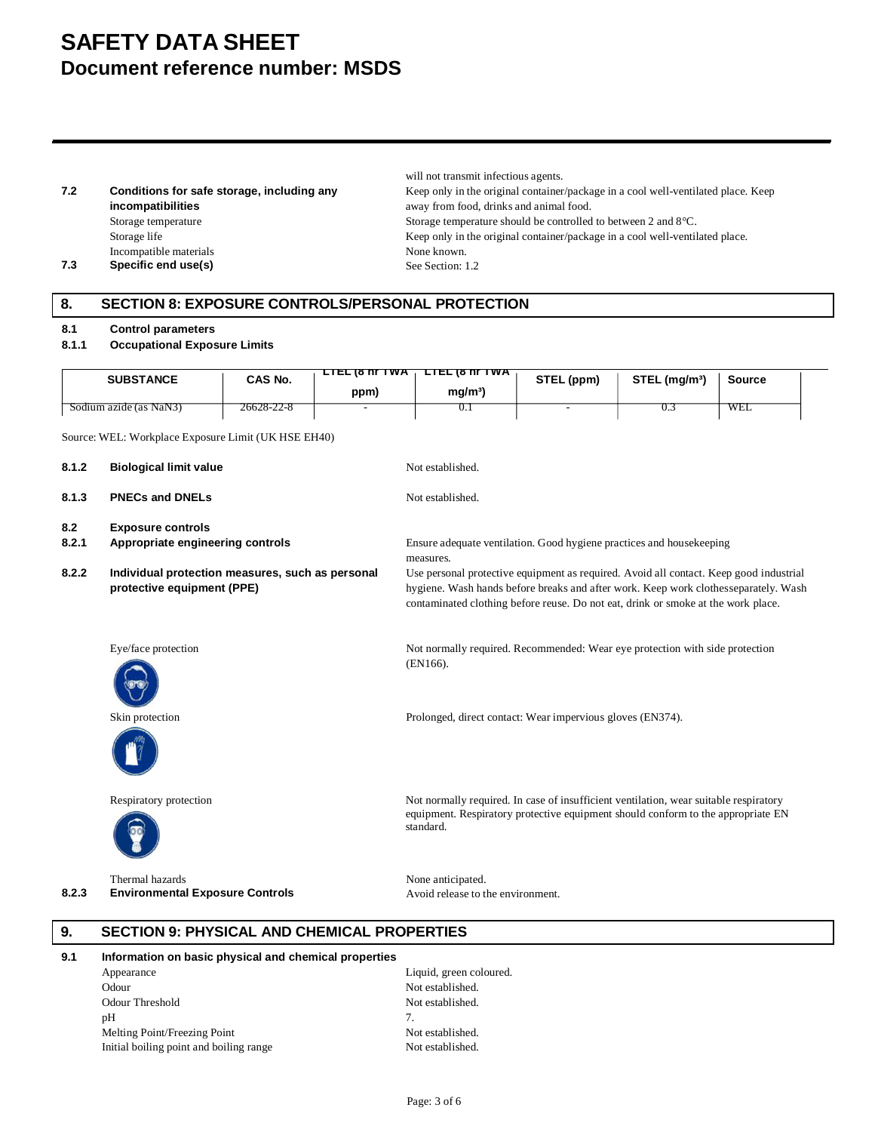# **SAFETY DATA SHEET Document reference number: MSDS**

**7.2 Conditions for safe storage, including any incompatibilities** Incompatible materials None known. **7.3 Specific end use(s)** See Section: 1.2

will not transmit infectious agents. Keep only in the original container/package in a cool well-ventilated place. Keep away from food, drinks and animal food. Storage temperature Storage temperature should be controlled to between 2 and 8°C. Storage life Keep only in the original container/package in a cool well-ventilated place.

## **8. SECTION 8: EXPOSURE CONTROLS/PERSONAL PROTECTION**

#### **8.1 Control parameters**

#### **8.1.1 Occupational Exposure Limits**

| <b>SUBSTANCE</b>       | CAS No.    | <b>LIEL 18 NT IWA</b><br>ppm) | <b>LIEL (8 NT IWA</b><br>mg/m <sup>3</sup> | STEL (ppm)               | STEL (mg/m <sup>3</sup> ) | Source |  |
|------------------------|------------|-------------------------------|--------------------------------------------|--------------------------|---------------------------|--------|--|
| Sodium azide (as NaN3) | 26628-22-8 |                               | v. 1                                       | $\overline{\phantom{0}}$ | U.S                       | WEL    |  |

Source: WEL: Workplace Exposure Limit (UK HSE EH40)

| 8.1.2 | <b>Biological limit value</b>                                                  | Not established.                                                                                                                                                                                                                                                   |
|-------|--------------------------------------------------------------------------------|--------------------------------------------------------------------------------------------------------------------------------------------------------------------------------------------------------------------------------------------------------------------|
| 8.1.3 | <b>PNECs and DNELs</b>                                                         | Not established.                                                                                                                                                                                                                                                   |
| 8.2   | <b>Exposure controls</b>                                                       |                                                                                                                                                                                                                                                                    |
| 8.2.1 | Appropriate engineering controls                                               | Ensure adequate ventilation. Good hygiene practices and housekeeping                                                                                                                                                                                               |
|       |                                                                                | measures.                                                                                                                                                                                                                                                          |
| 8.2.2 | Individual protection measures, such as personal<br>protective equipment (PPE) | Use personal protective equipment as required. Avoid all contact. Keep good industrial<br>hygiene. Wash hands before breaks and after work. Keep work clothesseparately. Wash<br>contaminated clothing before reuse. Do not eat, drink or smoke at the work place. |
|       | Eye/face protection                                                            | Not normally required. Recommended: Wear eye protection with side protection<br>(EN166).                                                                                                                                                                           |
|       | Skin protection                                                                | Prolonged, direct contact: Wear impervious gloves (EN374).                                                                                                                                                                                                         |
|       | Respiratory protection                                                         | Not normally required. In case of insufficient ventilation, wear suitable respiratory<br>equipment. Respiratory protective equipment should conform to the appropriate EN<br>standard.                                                                             |
|       | Thermal hazards                                                                | None anticipated.                                                                                                                                                                                                                                                  |
| 8.2.3 | <b>Environmental Exposure Controls</b>                                         | Avoid release to the environment.                                                                                                                                                                                                                                  |
| 9.    | <b>SECTION 9: PHYSICAL AND CHEMICAL PROPERTIES</b>                             |                                                                                                                                                                                                                                                                    |
| 9.1   | Information on basic physical and chemical properties                          |                                                                                                                                                                                                                                                                    |
|       | Appearance                                                                     | Liquid, green coloured.                                                                                                                                                                                                                                            |
|       | Odour                                                                          | Not established.                                                                                                                                                                                                                                                   |
|       | <b>Odour Threshold</b>                                                         | Not established.                                                                                                                                                                                                                                                   |

 $pH$  7. Melting Point/Freezing Point<br>
Initial boiling point and boiling range<br>
Not established.<br>
Not established. Initial boiling point and boiling range

Page: 3 of 6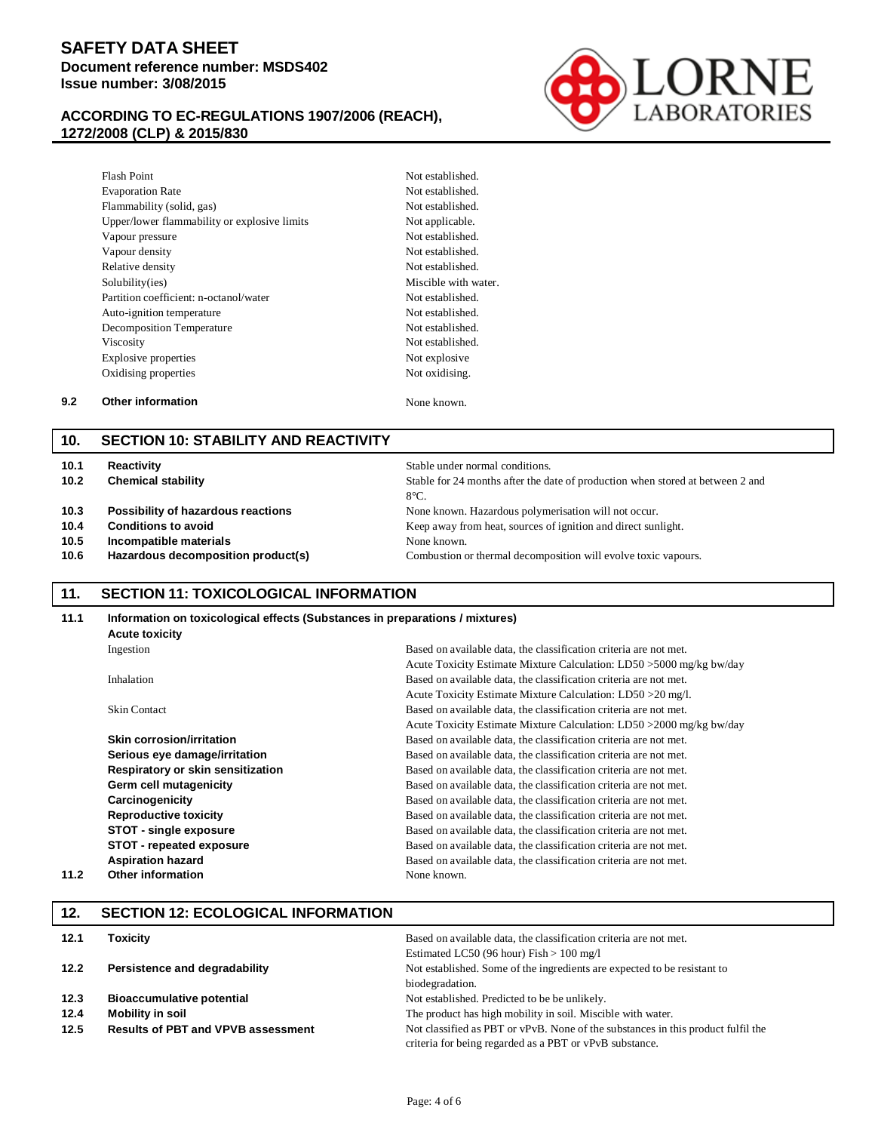## **SAFETY DATA SHEET Document reference number: MSDS402 Issue number: 3/08/2015**

### **ACCORDING TO EC-REGULATIONS 1907/2006 (REACH), 1272/2008 (CLP) & 2015/830**



| <b>Flash Point</b>                           | Not establishe |
|----------------------------------------------|----------------|
| <b>Evaporation Rate</b>                      | Not establishe |
| Flammability (solid, gas)                    | Not establishe |
| Upper/lower flammability or explosive limits | Not applicable |
| Vapour pressure                              | Not establishe |
| Vapour density                               | Not establishe |
| Relative density                             | Not establishe |
| Solubility(ies)                              | Miscible with  |
| Partition coefficient: n-octanol/water       | Not establishe |
| Auto-ignition temperature                    | Not establishe |
| Decomposition Temperature                    | Not establishe |
| <b>Viscosity</b>                             | Not establishe |
| Explosive properties                         | Not explosive  |
| Oxidising properties                         | Not oxidising. |
|                                              |                |

Not established. Not established. Not applicable. Not established. Not established. Not established. Miscible with water. Not established. Not established. Not established. Not established. Not explosive

Not established.

#### **9.2 Other information** None known.

#### **10. SECTION 10: STABILITY AND REACTIVITY**

| 10.1<br>10.2 | Reactivity<br><b>Chemical stability</b> | Stable under normal conditions.<br>Stable for 24 months after the date of production when stored at between 2 and<br>$8^{\circ}$ C. |
|--------------|-----------------------------------------|-------------------------------------------------------------------------------------------------------------------------------------|
| 10.3         | Possibility of hazardous reactions      | None known. Hazardous polymerisation will not occur.                                                                                |
| 10.4         | <b>Conditions to avoid</b>              | Keep away from heat, sources of ignition and direct sunlight.                                                                       |
| 10.5         | Incompatible materials                  | None known.                                                                                                                         |
| 10.6         | Hazardous decomposition product(s)      | Combustion or thermal decomposition will evolve toxic vapours.                                                                      |

#### **11. SECTION 11: TOXICOLOGICAL INFORMATION**

| 11.1 |                                   | Information on toxicological effects (Substances in preparations / mixtures) |  |  |  |
|------|-----------------------------------|------------------------------------------------------------------------------|--|--|--|
|      | <b>Acute toxicity</b>             |                                                                              |  |  |  |
|      | Ingestion                         | Based on available data, the classification criteria are not met.            |  |  |  |
|      |                                   | Acute Toxicity Estimate Mixture Calculation: LD50 > 5000 mg/kg bw/day        |  |  |  |
|      | Inhalation                        | Based on available data, the classification criteria are not met.            |  |  |  |
|      |                                   | Acute Toxicity Estimate Mixture Calculation: LD50 > 20 mg/l.                 |  |  |  |
|      | <b>Skin Contact</b>               | Based on available data, the classification criteria are not met.            |  |  |  |
|      |                                   | Acute Toxicity Estimate Mixture Calculation: LD50 > 2000 mg/kg bw/day        |  |  |  |
|      | Skin corrosion/irritation         | Based on available data, the classification criteria are not met.            |  |  |  |
|      | Serious eye damage/irritation     | Based on available data, the classification criteria are not met.            |  |  |  |
|      | Respiratory or skin sensitization | Based on available data, the classification criteria are not met.            |  |  |  |
|      | Germ cell mutagenicity            | Based on available data, the classification criteria are not met.            |  |  |  |
|      | Carcinogenicity                   | Based on available data, the classification criteria are not met.            |  |  |  |
|      | <b>Reproductive toxicity</b>      | Based on available data, the classification criteria are not met.            |  |  |  |
|      | STOT - single exposure            | Based on available data, the classification criteria are not met.            |  |  |  |
|      | STOT - repeated exposure          | Based on available data, the classification criteria are not met.            |  |  |  |
|      | <b>Aspiration hazard</b>          | Based on available data, the classification criteria are not met.            |  |  |  |
| 11.2 | <b>Other information</b>          | None known.                                                                  |  |  |  |
|      |                                   |                                                                              |  |  |  |

# **12.1 Toxicity 12.1 Toxicity Based on available data, the classification criteria are not met.** Estimated LC50 (96 hour) Fish > 100 mg/l **12. SECTION 12: ECOLOGICAL INFORMATION**

| 12.2 | Persistence and degradability             | Not established. Some of the ingredients are expected to be resistant to         |  |  |
|------|-------------------------------------------|----------------------------------------------------------------------------------|--|--|
|      |                                           | biodegradation.                                                                  |  |  |
| 12.3 | <b>Bioaccumulative potential</b>          | Not established. Predicted to be be unlikely.                                    |  |  |
| 12.4 | Mobility in soil                          | The product has high mobility in soil. Miscible with water.                      |  |  |
| 12.5 | <b>Results of PBT and VPVB assessment</b> | Not classified as PBT or vPvB. None of the substances in this product fulfil the |  |  |
|      |                                           | criteria for being regarded as a PBT or vPvB substance.                          |  |  |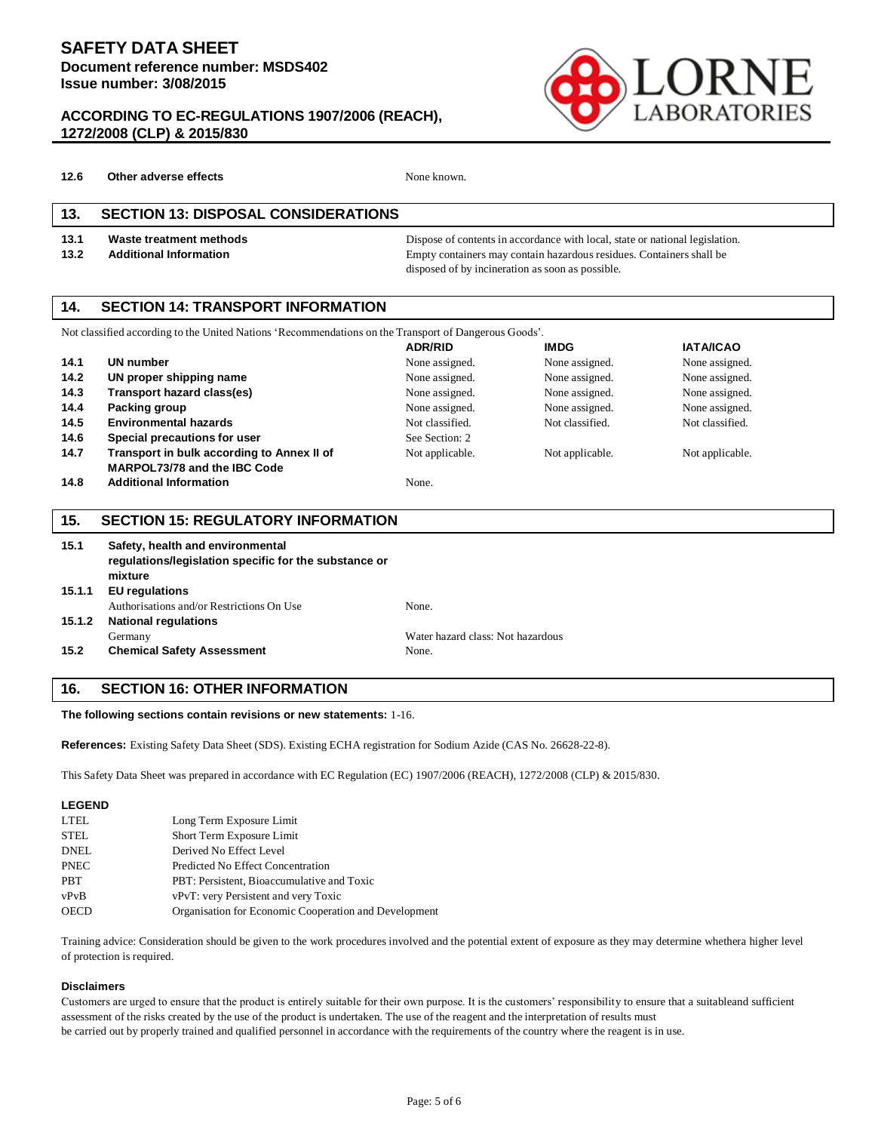#### **ACCORDING TO EC-REGULATIONS 1907/2006 (REACH), 1272/2008 (CLP) & 2015/830**



**12.6 Other adverse effects** None known.

#### **13. SECTION 13: DISPOSAL CONSIDERATIONS**

**13.1 Waste treatment methods** Dispose of contents in accordance with local, state or national legislation. **13.2 Additional Information Empty containers may contain hazardous residues. Containers shall be** disposed of by incineration as soon as possible.

#### **14. SECTION 14: TRANSPORT INFORMATION**

| Not classified according to the United Nations 'Recommendations on the Transport of Dangerous Goods'. |                                            |                 |                 |                  |
|-------------------------------------------------------------------------------------------------------|--------------------------------------------|-----------------|-----------------|------------------|
|                                                                                                       |                                            | <b>ADR/RID</b>  | <b>IMDG</b>     | <b>IATA/ICAO</b> |
| 14.1                                                                                                  | <b>UN number</b>                           | None assigned.  | None assigned.  | None assigned.   |
| 14.2                                                                                                  | UN proper shipping name                    | None assigned.  | None assigned.  | None assigned.   |
| 14.3                                                                                                  | Transport hazard class(es)                 | None assigned.  | None assigned.  | None assigned.   |
| 14.4                                                                                                  | Packing group                              | None assigned.  | None assigned.  | None assigned.   |
| 14.5                                                                                                  | <b>Environmental hazards</b>               | Not classified. | Not classified. | Not classified.  |
| 14.6                                                                                                  | Special precautions for user               | See Section: 2  |                 |                  |
| 14.7                                                                                                  | Transport in bulk according to Annex II of | Not applicable. | Not applicable. | Not applicable.  |
|                                                                                                       | <b>MARPOL73/78 and the IBC Code</b>        |                 |                 |                  |
| 14.8                                                                                                  | <b>Additional Information</b>              | None.           |                 |                  |

#### **15. SECTION 15: REGULATORY INFORMATION**

| 15.1   | Safety, health and environmental<br>regulations/legislation specific for the substance or |                                   |  |  |  |
|--------|-------------------------------------------------------------------------------------------|-----------------------------------|--|--|--|
|        | mixture                                                                                   |                                   |  |  |  |
| 15.1.1 | <b>EU</b> regulations                                                                     |                                   |  |  |  |
|        | Authorisations and/or Restrictions On Use                                                 | None.                             |  |  |  |
| 15.1.2 | <b>National regulations</b>                                                               |                                   |  |  |  |
|        | Germany                                                                                   | Water hazard class: Not hazardous |  |  |  |
| 15.2   | <b>Chemical Safety Assessment</b>                                                         | None.                             |  |  |  |

#### **16. SECTION 16: OTHER INFORMATION**

**The following sections contain revisions or new statements:** 1-16.

**References:** Existing Safety Data Sheet (SDS). Existing ECHA registration for Sodium Azide (CAS No. 26628-22-8).

This Safety Data Sheet was prepared in accordance with EC Regulation (EC) 1907/2006 (REACH), 1272/2008 (CLP) & 2015/830.

| <b>LEGEND</b> |                                                       |
|---------------|-------------------------------------------------------|
| <b>LTEL</b>   | Long Term Exposure Limit                              |
| <b>STEL</b>   | Short Term Exposure Limit                             |
| DNEL          | Derived No Effect Level                               |
| <b>PNEC</b>   | Predicted No Effect Concentration                     |
| <b>PBT</b>    | PBT: Persistent, Bioaccumulative and Toxic            |
| vPvB          | vPvT: very Persistent and very Toxic                  |
| <b>OECD</b>   | Organisation for Economic Cooperation and Development |

Training advice: Consideration should be given to the work procedures involved and the potential extent of exposure as they may determine whethera higher level of protection is required.

#### **Disclaimers**

Customers are urged to ensure that the product is entirely suitable for their own purpose. It is the customers' responsibility to ensure that a suitableand sufficient assessment of the risks created by the use of the product is undertaken. The use of the reagent and the interpretation of results must be carried out by properly trained and qualified personnel in accordance with the requirements of the country where the reagent is in use.